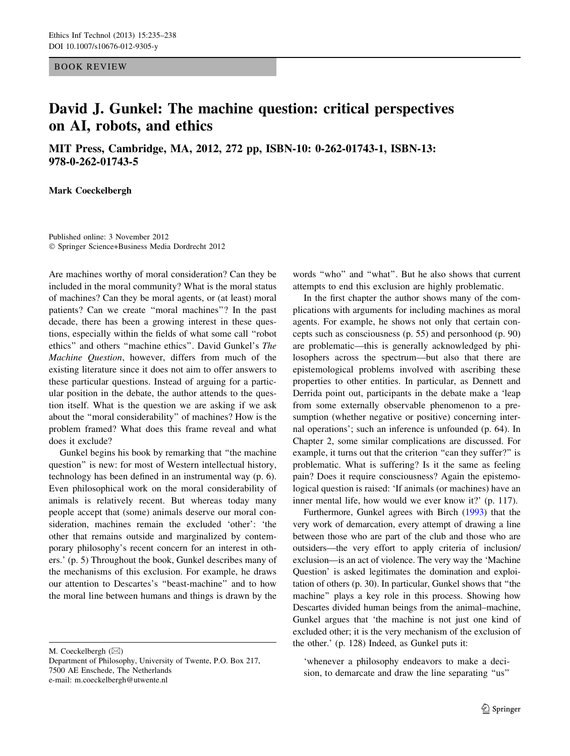BOOK REVIEW

## David J. Gunkel: The machine question: critical perspectives on AI, robots, and ethics

MIT Press, Cambridge, MA, 2012, 272 pp, ISBN-10: 0-262-01743-1, ISBN-13: 978-0-262-01743-5

Mark Coeckelbergh

Published online: 3 November 2012 - Springer Science+Business Media Dordrecht 2012

Are machines worthy of moral consideration? Can they be included in the moral community? What is the moral status of machines? Can they be moral agents, or (at least) moral patients? Can we create "moral machines"? In the past decade, there has been a growing interest in these questions, especially within the fields of what some call ''robot ethics'' and others ''machine ethics''. David Gunkel's The Machine Question, however, differs from much of the existing literature since it does not aim to offer answers to these particular questions. Instead of arguing for a particular position in the debate, the author attends to the question itself. What is the question we are asking if we ask about the ''moral considerability'' of machines? How is the problem framed? What does this frame reveal and what does it exclude?

Gunkel begins his book by remarking that ''the machine question'' is new: for most of Western intellectual history, technology has been defined in an instrumental way (p. 6). Even philosophical work on the moral considerability of animals is relatively recent. But whereas today many people accept that (some) animals deserve our moral consideration, machines remain the excluded 'other': 'the other that remains outside and marginalized by contemporary philosophy's recent concern for an interest in others.' (p. 5) Throughout the book, Gunkel describes many of the mechanisms of this exclusion. For example, he draws our attention to Descartes's ''beast-machine'' and to how the moral line between humans and things is drawn by the

M. Coeckelbergh  $(\boxtimes)$ 

words ''who'' and ''what''. But he also shows that current attempts to end this exclusion are highly problematic.

In the first chapter the author shows many of the complications with arguments for including machines as moral agents. For example, he shows not only that certain concepts such as consciousness (p. 55) and personhood (p. 90) are problematic—this is generally acknowledged by philosophers across the spectrum—but also that there are epistemological problems involved with ascribing these properties to other entities. In particular, as Dennett and Derrida point out, participants in the debate make a 'leap from some externally observable phenomenon to a presumption (whether negative or positive) concerning internal operations'; such an inference is unfounded (p. 64). In Chapter 2, some similar complications are discussed. For example, it turns out that the criterion "can they suffer?" is problematic. What is suffering? Is it the same as feeling pain? Does it require consciousness? Again the epistemological question is raised: 'If animals (or machines) have an inner mental life, how would we ever know it?' (p. 117).

Furthermore, Gunkel agrees with Birch [\(1993\)](#page-3-0) that the very work of demarcation, every attempt of drawing a line between those who are part of the club and those who are outsiders—the very effort to apply criteria of inclusion/ exclusion—is an act of violence. The very way the 'Machine Question' is asked legitimates the domination and exploitation of others (p. 30). In particular, Gunkel shows that ''the machine'' plays a key role in this process. Showing how Descartes divided human beings from the animal–machine, Gunkel argues that 'the machine is not just one kind of excluded other; it is the very mechanism of the exclusion of the other.' (p. 128) Indeed, as Gunkel puts it:

'whenever a philosophy endeavors to make a decision, to demarcate and draw the line separating ''us''

Department of Philosophy, University of Twente, P.O. Box 217, 7500 AE Enschede, The Netherlands e-mail: m.coeckelbergh@utwente.nl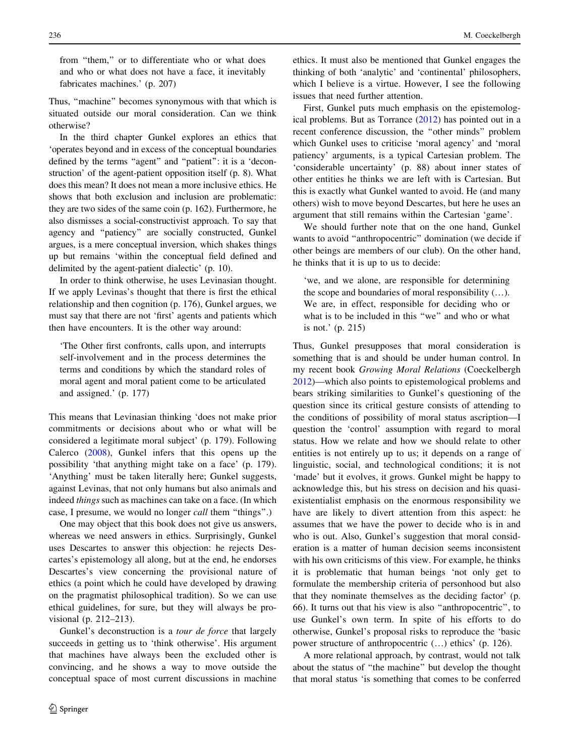from "them," or to differentiate who or what does and who or what does not have a face, it inevitably fabricates machines.' (p. 207)

Thus, "machine" becomes synonymous with that which is situated outside our moral consideration. Can we think otherwise?

In the third chapter Gunkel explores an ethics that 'operates beyond and in excess of the conceptual boundaries defined by the terms "agent" and "patient": it is a 'deconstruction' of the agent-patient opposition itself (p. 8). What does this mean? It does not mean a more inclusive ethics. He shows that both exclusion and inclusion are problematic: they are two sides of the same coin (p. 162). Furthermore, he also dismisses a social-constructivist approach. To say that agency and ''patiency'' are socially constructed, Gunkel argues, is a mere conceptual inversion, which shakes things up but remains 'within the conceptual field defined and delimited by the agent-patient dialectic' (p. 10).

In order to think otherwise, he uses Levinasian thought. If we apply Levinas's thought that there is first the ethical relationship and then cognition (p. 176), Gunkel argues, we must say that there are not 'first' agents and patients which then have encounters. It is the other way around:

'The Other first confronts, calls upon, and interrupts self-involvement and in the process determines the terms and conditions by which the standard roles of moral agent and moral patient come to be articulated and assigned.' (p. 177)

This means that Levinasian thinking 'does not make prior commitments or decisions about who or what will be considered a legitimate moral subject' (p. 179). Following Calerco ([2008\)](#page-3-0), Gunkel infers that this opens up the possibility 'that anything might take on a face' (p. 179). 'Anything' must be taken literally here; Gunkel suggests, against Levinas, that not only humans but also animals and indeed things such as machines can take on a face. (In which case, I presume, we would no longer call them ''things''.)

One may object that this book does not give us answers, whereas we need answers in ethics. Surprisingly, Gunkel uses Descartes to answer this objection: he rejects Descartes's epistemology all along, but at the end, he endorses Descartes's view concerning the provisional nature of ethics (a point which he could have developed by drawing on the pragmatist philosophical tradition). So we can use ethical guidelines, for sure, but they will always be provisional (p. 212–213).

Gunkel's deconstruction is a *tour de force* that largely succeeds in getting us to 'think otherwise'. His argument that machines have always been the excluded other is convincing, and he shows a way to move outside the conceptual space of most current discussions in machine which I believe is a virtue. However, I see the following issues that need further attention. First, Gunkel puts much emphasis on the epistemological problems. But as Torrance ([2012\)](#page-3-0) has pointed out in a recent conference discussion, the ''other minds'' problem which Gunkel uses to criticise 'moral agency' and 'moral patiency' arguments, is a typical Cartesian problem. The 'considerable uncertainty' (p. 88) about inner states of other entities he thinks we are left with is Cartesian. But

this is exactly what Gunkel wanted to avoid. He (and many others) wish to move beyond Descartes, but here he uses an argument that still remains within the Cartesian 'game'.

We should further note that on the one hand, Gunkel wants to avoid ''anthropocentric'' domination (we decide if other beings are members of our club). On the other hand, he thinks that it is up to us to decide:

'we, and we alone, are responsible for determining the scope and boundaries of moral responsibility (…). We are, in effect, responsible for deciding who or what is to be included in this "we" and who or what is not.' (p. 215)

Thus, Gunkel presupposes that moral consideration is something that is and should be under human control. In my recent book Growing Moral Relations (Coeckelbergh [2012](#page-3-0))—which also points to epistemological problems and bears striking similarities to Gunkel's questioning of the question since its critical gesture consists of attending to the conditions of possibility of moral status ascription—I question the 'control' assumption with regard to moral status. How we relate and how we should relate to other entities is not entirely up to us; it depends on a range of linguistic, social, and technological conditions; it is not 'made' but it evolves, it grows. Gunkel might be happy to acknowledge this, but his stress on decision and his quasiexistentialist emphasis on the enormous responsibility we have are likely to divert attention from this aspect: he assumes that we have the power to decide who is in and who is out. Also, Gunkel's suggestion that moral consideration is a matter of human decision seems inconsistent with his own criticisms of this view. For example, he thinks it is problematic that human beings 'not only get to formulate the membership criteria of personhood but also that they nominate themselves as the deciding factor' (p. 66). It turns out that his view is also ''anthropocentric'', to use Gunkel's own term. In spite of his efforts to do otherwise, Gunkel's proposal risks to reproduce the 'basic power structure of anthropocentric (…) ethics' (p. 126).

A more relational approach, by contrast, would not talk about the status of ''the machine'' but develop the thought that moral status 'is something that comes to be conferred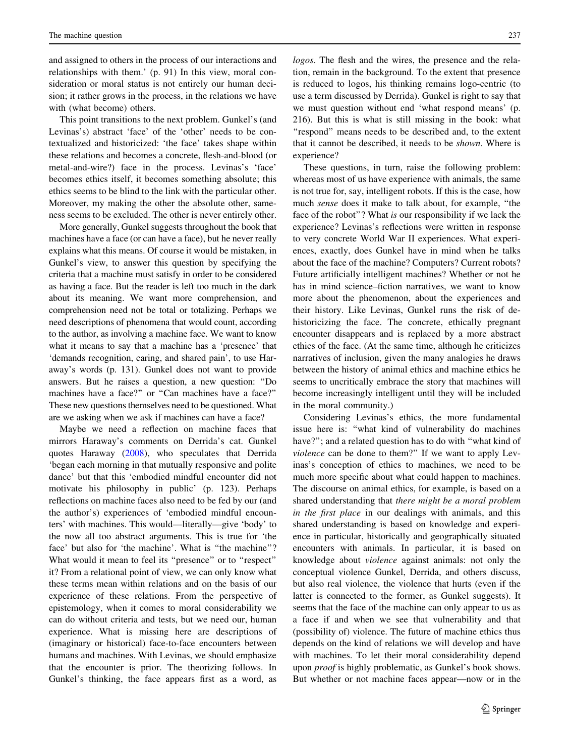and assigned to others in the process of our interactions and relationships with them.' (p. 91) In this view, moral consideration or moral status is not entirely our human decision; it rather grows in the process, in the relations we have with (what become) others.

This point transitions to the next problem. Gunkel's (and Levinas's) abstract 'face' of the 'other' needs to be contextualized and historicized: 'the face' takes shape within these relations and becomes a concrete, flesh-and-blood (or metal-and-wire?) face in the process. Levinas's 'face' becomes ethics itself, it becomes something absolute; this ethics seems to be blind to the link with the particular other. Moreover, my making the other the absolute other, sameness seems to be excluded. The other is never entirely other.

More generally, Gunkel suggests throughout the book that machines have a face (or can have a face), but he never really explains what this means. Of course it would be mistaken, in Gunkel's view, to answer this question by specifying the criteria that a machine must satisfy in order to be considered as having a face. But the reader is left too much in the dark about its meaning. We want more comprehension, and comprehension need not be total or totalizing. Perhaps we need descriptions of phenomena that would count, according to the author, as involving a machine face. We want to know what it means to say that a machine has a 'presence' that 'demands recognition, caring, and shared pain', to use Haraway's words (p. 131). Gunkel does not want to provide answers. But he raises a question, a new question: ''Do machines have a face?" or "Can machines have a face?" These new questions themselves need to be questioned. What are we asking when we ask if machines can have a face?

Maybe we need a reflection on machine faces that mirrors Haraway's comments on Derrida's cat. Gunkel quotes Haraway ([2008\)](#page-3-0), who speculates that Derrida 'began each morning in that mutually responsive and polite dance' but that this 'embodied mindful encounter did not motivate his philosophy in public' (p. 123). Perhaps reflections on machine faces also need to be fed by our (and the author's) experiences of 'embodied mindful encounters' with machines. This would—literally—give 'body' to the now all too abstract arguments. This is true for 'the face' but also for 'the machine'. What is "the machine"? What would it mean to feel its "presence" or to "respect" it? From a relational point of view, we can only know what these terms mean within relations and on the basis of our experience of these relations. From the perspective of epistemology, when it comes to moral considerability we can do without criteria and tests, but we need our, human experience. What is missing here are descriptions of (imaginary or historical) face-to-face encounters between humans and machines. With Levinas, we should emphasize that the encounter is prior. The theorizing follows. In Gunkel's thinking, the face appears first as a word, as logos. The flesh and the wires, the presence and the relation, remain in the background. To the extent that presence is reduced to logos, his thinking remains logo-centric (to use a term discussed by Derrida). Gunkel is right to say that we must question without end 'what respond means' (p. 216). But this is what is still missing in the book: what ''respond'' means needs to be described and, to the extent that it cannot be described, it needs to be shown. Where is experience?

These questions, in turn, raise the following problem: whereas most of us have experience with animals, the same is not true for, say, intelligent robots. If this is the case, how much sense does it make to talk about, for example, ''the face of the robot''? What is our responsibility if we lack the experience? Levinas's reflections were written in response to very concrete World War II experiences. What experiences, exactly, does Gunkel have in mind when he talks about the face of the machine? Computers? Current robots? Future artificially intelligent machines? Whether or not he has in mind science–fiction narratives, we want to know more about the phenomenon, about the experiences and their history. Like Levinas, Gunkel runs the risk of dehistoricizing the face. The concrete, ethically pregnant encounter disappears and is replaced by a more abstract ethics of the face. (At the same time, although he criticizes narratives of inclusion, given the many analogies he draws between the history of animal ethics and machine ethics he seems to uncritically embrace the story that machines will become increasingly intelligent until they will be included in the moral community.)

Considering Levinas's ethics, the more fundamental issue here is: ''what kind of vulnerability do machines have?"; and a related question has to do with "what kind of violence can be done to them?'' If we want to apply Levinas's conception of ethics to machines, we need to be much more specific about what could happen to machines. The discourse on animal ethics, for example, is based on a shared understanding that there might be a moral problem in the first place in our dealings with animals, and this shared understanding is based on knowledge and experience in particular, historically and geographically situated encounters with animals. In particular, it is based on knowledge about violence against animals: not only the conceptual violence Gunkel, Derrida, and others discuss, but also real violence, the violence that hurts (even if the latter is connected to the former, as Gunkel suggests). It seems that the face of the machine can only appear to us as a face if and when we see that vulnerability and that (possibility of) violence. The future of machine ethics thus depends on the kind of relations we will develop and have with machines. To let their moral considerability depend upon proof is highly problematic, as Gunkel's book shows. But whether or not machine faces appear—now or in the